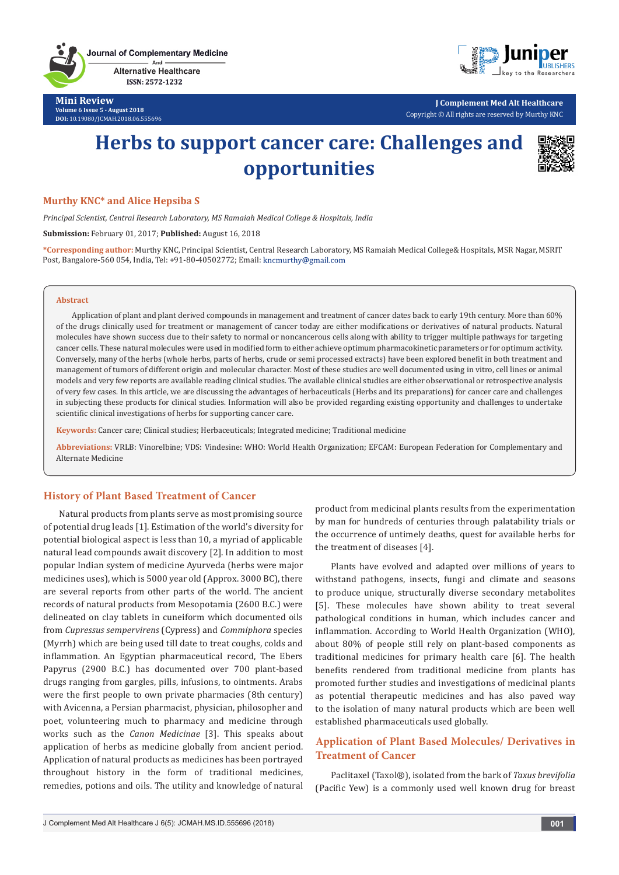Journal of Complementary Medicine And **Alternative Healthcare** 

ISSN: 2572-1232 **Mini Review**

**Volume 6 Issue 5 - August 2018 DOI:** [10.19080/JCMAH.2018.06.555696](http://dx.doi.org/10.19080/JCMAH.2018.06.555696)



**J Complement Med Alt Healthcare** Copyright © All rights are reserved by Murthy KNC

# **Herbs to support cancer care: Challenges and opportunities**



#### **Murthy KNC\* and Alice Hepsiba S**

*Principal Scientist, Central Research Laboratory, MS Ramaiah Medical College & Hospitals, India*

**Submission:** February 01, 2017; **Published:** August 16, 2018

**\*Corresponding author:** Murthy KNC, Principal Scientist, Central Research Laboratory, MS Ramaiah Medical College& Hospitals, MSR Nagar, MSRIT Post, Bangalore-560 054, India, Tel: +91-80-40502772; Email: kncmurthy@gmail.com

#### **Abstract**

Application of plant and plant derived compounds in management and treatment of cancer dates back to early 19th century. More than 60% of the drugs clinically used for treatment or management of cancer today are either modifications or derivatives of natural products. Natural molecules have shown success due to their safety to normal or noncancerous cells along with ability to trigger multiple pathways for targeting cancer cells. These natural molecules were used in modified form to either achieve optimum pharmacokinetic parameters or for optimum activity. Conversely, many of the herbs (whole herbs, parts of herbs, crude or semi processed extracts) have been explored benefit in both treatment and management of tumors of different origin and molecular character. Most of these studies are well documented using in vitro, cell lines or animal models and very few reports are available reading clinical studies. The available clinical studies are either observational or retrospective analysis of very few cases. In this article, we are discussing the advantages of herbaceuticals (Herbs and its preparations) for cancer care and challenges in subjecting these products for clinical studies. Information will also be provided regarding existing opportunity and challenges to undertake scientific clinical investigations of herbs for supporting cancer care.

**Keywords:** Cancer care; Clinical studies; Herbaceuticals; Integrated medicine; Traditional medicine

**Abbreviations:** VRLB: Vinorelbine; VDS: Vindesine: WHO: World Health Organization; EFCAM: European Federation for Complementary and Alternate Medicine

# **History of Plant Based Treatment of Cancer**

Natural products from plants serve as most promising source of potential drug leads [1]. Estimation of the world's diversity for potential biological aspect is less than 10, a myriad of applicable natural lead compounds await discovery [2]. In addition to most popular Indian system of medicine Ayurveda (herbs were major medicines uses), which is 5000 year old (Approx. 3000 BC), there are several reports from other parts of the world. The ancient records of natural products from Mesopotamia (2600 B.C.) were delineated on clay tablets in cuneiform which documented oils from *Cupressus sempervirens* (Cypress) and *Commiphora* species (Myrrh) which are being used till date to treat coughs, colds and inflammation. An Egyptian pharmaceutical record, The Ebers Papyrus (2900 B.C.) has documented over 700 plant-based drugs ranging from gargles, pills, infusions, to ointments. Arabs were the first people to own private pharmacies (8th century) with Avicenna, a Persian pharmacist, physician, philosopher and poet, volunteering much to pharmacy and medicine through works such as the *Canon Medicinae* [3]. This speaks about application of herbs as medicine globally from ancient period. Application of natural products as medicines has been portrayed throughout history in the form of traditional medicines, remedies, potions and oils. The utility and knowledge of natural product from medicinal plants results from the experimentation by man for hundreds of centuries through palatability trials or the occurrence of untimely deaths, quest for available herbs for the treatment of diseases [4].

Plants have evolved and adapted over millions of years to withstand pathogens, insects, fungi and climate and seasons to produce unique, structurally diverse secondary metabolites [5]. These molecules have shown ability to treat several pathological conditions in human, which includes cancer and inflammation. According to World Health Organization (WHO), about 80% of people still rely on plant-based components as traditional medicines for primary health care [6]. The health benefits rendered from traditional medicine from plants has promoted further studies and investigations of medicinal plants as potential therapeutic medicines and has also paved way to the isolation of many natural products which are been well established pharmaceuticals used globally.

# **Application of Plant Based Molecules/ Derivatives in Treatment of Cancer**

Paclitaxel (Taxol®), isolated from the bark of *Taxus brevifolia*  (Pacific Yew) is a commonly used well known drug for breast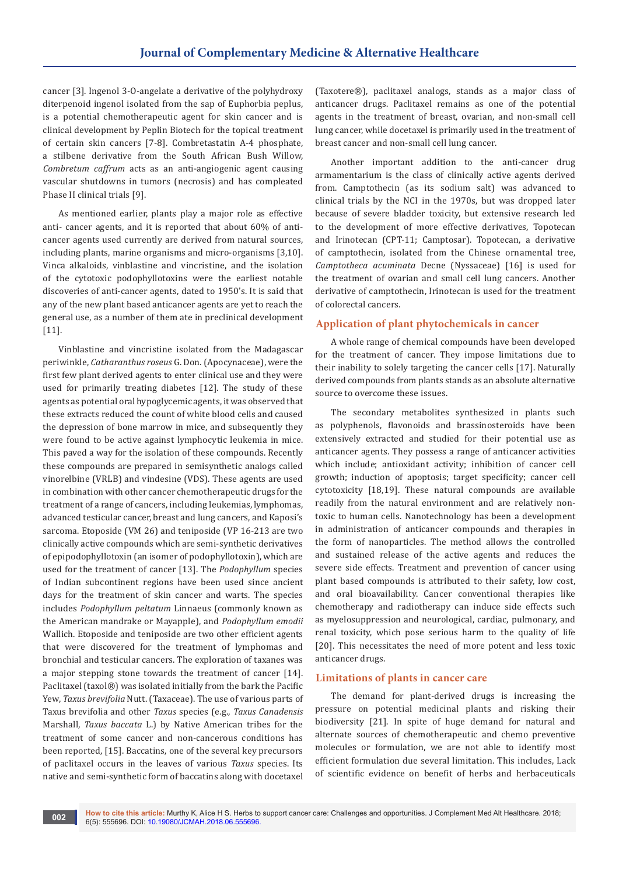cancer [3]. Ingenol 3-O-angelate a derivative of the polyhydroxy diterpenoid ingenol isolated from the sap of Euphorbia peplus, is a potential chemotherapeutic agent for skin cancer and is clinical development by Peplin Biotech for the topical treatment of certain skin cancers [7-8]. Combretastatin A-4 phosphate, a stilbene derivative from the South African Bush Willow, *Combretum caffrum* acts as an anti-angiogenic agent causing vascular shutdowns in tumors (necrosis) and has compleated Phase II clinical trials [9].

As mentioned earlier, plants play a major role as effective anti- cancer agents, and it is reported that about 60% of anticancer agents used currently are derived from natural sources, including plants, marine organisms and micro-organisms [3,10]. Vinca alkaloids, vinblastine and vincristine, and the isolation of the cytotoxic podophyllotoxins were the earliest notable discoveries of anti-cancer agents, dated to 1950's. It is said that any of the new plant based anticancer agents are yet to reach the general use, as a number of them ate in preclinical development [11].

Vinblastine and vincristine isolated from the Madagascar periwinkle, *Catharanthus roseus* G. Don. (Apocynaceae), were the first few plant derived agents to enter clinical use and they were used for primarily treating diabetes [12]. The study of these agents as potential oral hypoglycemic agents, it was observed that these extracts reduced the count of white blood cells and caused the depression of bone marrow in mice, and subsequently they were found to be active against lymphocytic leukemia in mice. This paved a way for the isolation of these compounds. Recently these compounds are prepared in semisynthetic analogs called vinorelbine (VRLB) and vindesine (VDS). These agents are used in combination with other cancer chemotherapeutic drugs for the treatment of a range of cancers, including leukemias, lymphomas, advanced testicular cancer, breast and lung cancers, and Kaposi's sarcoma. Etoposide (VM 26) and teniposide (VP 16-213 are two clinically active compounds which are semi-synthetic derivatives of epipodophyllotoxin (an isomer of podophyllotoxin), which are used for the treatment of cancer [13]. The *Podophyllum* species of Indian subcontinent regions have been used since ancient days for the treatment of skin cancer and warts. The species includes *Podophyllum peltatum* Linnaeus (commonly known as the American mandrake or Mayapple), and *Podophyllum emodii*  Wallich. Etoposide and teniposide are two other efficient agents that were discovered for the treatment of lymphomas and bronchial and testicular cancers. The exploration of taxanes was a major stepping stone towards the treatment of cancer [14]. Paclitaxel (taxol®) was isolated initially from the bark the Pacific Yew, *Taxus brevifolia* Nutt. (Taxaceae). The use of various parts of Taxus brevifolia and other *Taxus* species (e.g., *Taxus Canadensis* Marshall, *Taxus baccata* L.) by Native American tribes for the treatment of some cancer and non-cancerous conditions has been reported, [15]. Baccatins, one of the several key precursors of paclitaxel occurs in the leaves of various *Taxus* species. Its native and semi-synthetic form of baccatins along with docetaxel

(Taxotere®), paclitaxel analogs, stands as a major class of anticancer drugs. Paclitaxel remains as one of the potential agents in the treatment of breast, ovarian, and non-small cell lung cancer, while docetaxel is primarily used in the treatment of breast cancer and non-small cell lung cancer.

Another important addition to the anti-cancer drug armamentarium is the class of clinically active agents derived from. Camptothecin (as its sodium salt) was advanced to clinical trials by the NCI in the 1970s, but was dropped later because of severe bladder toxicity, but extensive research led to the development of more effective derivatives, Topotecan and Irinotecan (CPT-11; Camptosar). Topotecan, a derivative of camptothecin, isolated from the Chinese ornamental tree, *Camptotheca acuminata* Decne (Nyssaceae) [16] is used for the treatment of ovarian and small cell lung cancers. Another derivative of camptothecin, Irinotecan is used for the treatment of colorectal cancers.

# **Application of plant phytochemicals in cancer**

A whole range of chemical compounds have been developed for the treatment of cancer. They impose limitations due to their inability to solely targeting the cancer cells [17]. Naturally derived compounds from plants stands as an absolute alternative source to overcome these issues.

The secondary metabolites synthesized in plants such as polyphenols, flavonoids and brassinosteroids have been extensively extracted and studied for their potential use as anticancer agents. They possess a range of anticancer activities which include; antioxidant activity; inhibition of cancer cell growth; induction of apoptosis; target specificity; cancer cell cytotoxicity [18,19]. These natural compounds are available readily from the natural environment and are relatively nontoxic to human cells. Nanotechnology has been a development in administration of anticancer compounds and therapies in the form of nanoparticles. The method allows the controlled and sustained release of the active agents and reduces the severe side effects. Treatment and prevention of cancer using plant based compounds is attributed to their safety, low cost, and oral bioavailability. Cancer conventional therapies like chemotherapy and radiotherapy can induce side effects such as myelosuppression and neurological, cardiac, pulmonary, and renal toxicity, which pose serious harm to the quality of life [20]. This necessitates the need of more potent and less toxic anticancer drugs.

### **Limitations of plants in cancer care**

The demand for plant-derived drugs is increasing the pressure on potential medicinal plants and risking their biodiversity [21]. In spite of huge demand for natural and alternate sources of chemotherapeutic and chemo preventive molecules or formulation, we are not able to identify most efficient formulation due several limitation. This includes, Lack of scientific evidence on benefit of herbs and herbaceuticals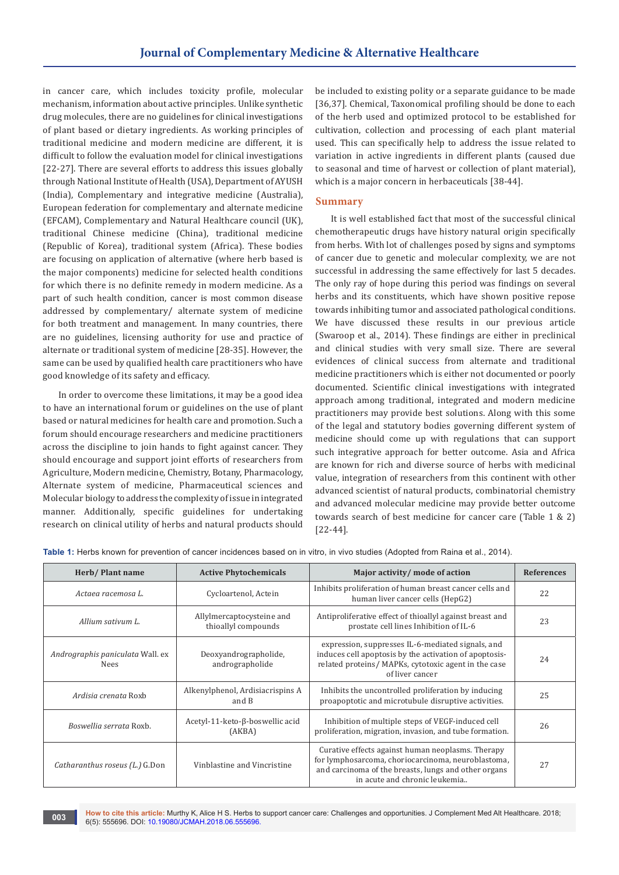in cancer care, which includes toxicity profile, molecular mechanism, information about active principles. Unlike synthetic drug molecules, there are no guidelines for clinical investigations of plant based or dietary ingredients. As working principles of traditional medicine and modern medicine are different, it is difficult to follow the evaluation model for clinical investigations [22-27]. There are several efforts to address this issues globally through National Institute of Health (USA), Department of AYUSH (India), Complementary and integrative medicine (Australia), European federation for complementary and alternate medicine (EFCAM), Complementary and Natural Healthcare council (UK), traditional Chinese medicine (China), traditional medicine (Republic of Korea), traditional system (Africa). These bodies are focusing on application of alternative (where herb based is the major components) medicine for selected health conditions for which there is no definite remedy in modern medicine. As a part of such health condition, cancer is most common disease addressed by complementary/ alternate system of medicine for both treatment and management. In many countries, there are no guidelines, licensing authority for use and practice of alternate or traditional system of medicine [28-35]. However, the same can be used by qualified health care practitioners who have good knowledge of its safety and efficacy.

In order to overcome these limitations, it may be a good idea to have an international forum or guidelines on the use of plant based or natural medicines for health care and promotion. Such a forum should encourage researchers and medicine practitioners across the discipline to join hands to fight against cancer. They should encourage and support joint efforts of researchers from Agriculture, Modern medicine, Chemistry, Botany, Pharmacology, Alternate system of medicine, Pharmaceutical sciences and Molecular biology to address the complexity of issue in integrated manner. Additionally, specific guidelines for undertaking research on clinical utility of herbs and natural products should

be included to existing polity or a separate guidance to be made [36,37]. Chemical, Taxonomical profiling should be done to each of the herb used and optimized protocol to be established for cultivation, collection and processing of each plant material used. This can specifically help to address the issue related to variation in active ingredients in different plants (caused due to seasonal and time of harvest or collection of plant material), which is a major concern in herbaceuticals [38-44].

#### **Summary**

It is well established fact that most of the successful clinical chemotherapeutic drugs have history natural origin specifically from herbs. With lot of challenges posed by signs and symptoms of cancer due to genetic and molecular complexity, we are not successful in addressing the same effectively for last 5 decades. The only ray of hope during this period was findings on several herbs and its constituents, which have shown positive repose towards inhibiting tumor and associated pathological conditions. We have discussed these results in our previous article (Swaroop et al., 2014). These findings are either in preclinical and clinical studies with very small size. There are several evidences of clinical success from alternate and traditional medicine practitioners which is either not documented or poorly documented. Scientific clinical investigations with integrated approach among traditional, integrated and modern medicine practitioners may provide best solutions. Along with this some of the legal and statutory bodies governing different system of medicine should come up with regulations that can support such integrative approach for better outcome. Asia and Africa are known for rich and diverse source of herbs with medicinal value, integration of researchers from this continent with other advanced scientist of natural products, combinatorial chemistry and advanced molecular medicine may provide better outcome towards search of best medicine for cancer care (Table 1 & 2) [22-44].

| able 1: Herbs known for prevention of cancer incluences based on in vitro, in vivo studies (Adopted from Raina et al., 2014). |                                                  |                                                                                                                                                                                                  |                   |  |
|-------------------------------------------------------------------------------------------------------------------------------|--------------------------------------------------|--------------------------------------------------------------------------------------------------------------------------------------------------------------------------------------------------|-------------------|--|
| Herb/Plant name                                                                                                               | <b>Active Phytochemicals</b>                     | Major activity/ mode of action                                                                                                                                                                   | <b>References</b> |  |
| Actaea racemosa L.                                                                                                            | Cycloartenol, Actein                             | Inhibits proliferation of human breast cancer cells and<br>human liver cancer cells (HepG2)                                                                                                      | 22                |  |
| Allium sativum L.                                                                                                             | Allylmercaptocysteine and<br>thioallyl compounds | Antiproliferative effect of thioallyl against breast and<br>prostate cell lines Inhibition of IL-6                                                                                               | 23                |  |
| Andrographis paniculata Wall. ex<br>Nees                                                                                      | Deoxyandrographolide,<br>andrographolide         | expression, suppresses IL-6-mediated signals, and<br>induces cell apoptosis by the activation of apoptosis-<br>related proteins/ MAPKs, cytotoxic agent in the case<br>of liver cancer           | 24                |  |
| Ardisia crenata Roxb                                                                                                          | Alkenylphenol, Ardisiacrispins A<br>and B        | Inhibits the uncontrolled proliferation by inducing<br>proapoptotic and microtubule disruptive activities.                                                                                       | 25                |  |
| Boswellia serrata Roxb.                                                                                                       | Acetyl-11-keto-β-boswellic acid<br>(AKBA)        | Inhibition of multiple steps of VEGF-induced cell<br>proliferation, migration, invasion, and tube formation.                                                                                     | 26                |  |
| Catharanthus roseus (L.) G.Don                                                                                                | Vinblastine and Vincristine                      | Curative effects against human neoplasms. Therapy<br>for lymphosarcoma, choriocarcinoma, neuroblastoma,<br>and carcinoma of the breasts, lungs and other organs<br>in acute and chronic leukemia | 27                |  |

**Table 1:** Herbs known for prevention of cancer incidences based on in vitro, in vivo studies (Adopted from Raina et al., 2014).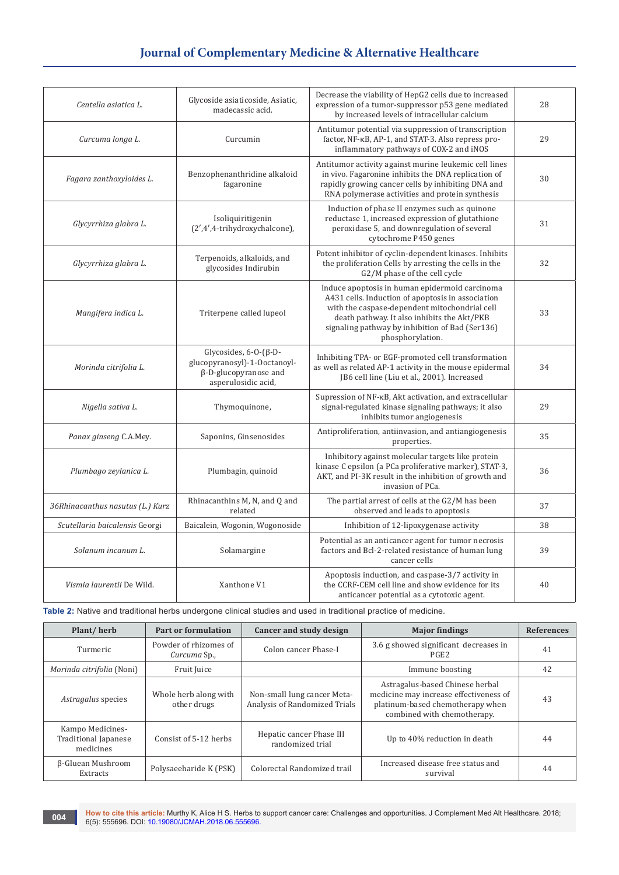# **Journal of Complementary Medicine & Alternative Healthcare**

| Centella asiatica L.                     | Glycoside asiaticoside, Asiatic,<br>madecassic acid.                                                               | Decrease the viability of HepG2 cells due to increased<br>expression of a tumor-suppressor p53 gene mediated<br>by increased levels of intracellular calcium                                                                                                               | 28 |
|------------------------------------------|--------------------------------------------------------------------------------------------------------------------|----------------------------------------------------------------------------------------------------------------------------------------------------------------------------------------------------------------------------------------------------------------------------|----|
| Curcuma longa L.                         | Curcumin                                                                                                           | Antitumor potential via suppression of transcription<br>factor, NF-KB, AP-1, and STAT-3. Also repress pro-<br>inflammatory pathways of COX-2 and iNOS                                                                                                                      | 29 |
| Fagara zanthoxyloides L.                 | Benzophenanthridine alkaloid<br>fagaronine                                                                         | Antitumor activity against murine leukemic cell lines<br>in vivo. Fagaronine inhibits the DNA replication of<br>rapidly growing cancer cells by inhibiting DNA and<br>RNA polymerase activities and protein synthesis                                                      | 30 |
| Glycyrrhiza glabra L.                    | Isoliquiritigenin<br>(2',4',4-trihydroxychalcone),                                                                 | Induction of phase II enzymes such as quinone<br>reductase 1, increased expression of glutathione<br>peroxidase 5, and downregulation of several<br>cytochrome P450 genes                                                                                                  | 31 |
| Glycyrrhiza glabra L.                    | Terpenoids, alkaloids, and<br>glycosides Indirubin                                                                 | Potent inhibitor of cyclin-dependent kinases. Inhibits<br>the proliferation Cells by arresting the cells in the<br>G2/M phase of the cell cycle                                                                                                                            | 32 |
| Mangifera indica L.                      | Triterpene called lupeol                                                                                           | Induce apoptosis in human epidermoid carcinoma<br>A431 cells. Induction of apoptosis in association<br>with the caspase-dependent mitochondrial cell<br>death pathway. It also inhibits the Akt/PKB<br>signaling pathway by inhibition of Bad (Ser136)<br>phosphorylation. | 33 |
| Morinda citrifolia L.                    | Glycosides, $6-0-(\beta-D-$<br>glucopyranosyl)-1-Ooctanoyl-<br>$\beta$ -D-glucopyranose and<br>asperulosidic acid, | Inhibiting TPA- or EGF-promoted cell transformation<br>as well as related AP-1 activity in the mouse epidermal<br>JB6 cell line (Liu et al., 2001). Increased                                                                                                              | 34 |
| Nigella sativa L.                        | Thymoquinone,                                                                                                      | Supression of NF-KB, Akt activation, and extracellular<br>signal-regulated kinase signaling pathways; it also<br>inhibits tumor angiogenesis                                                                                                                               | 29 |
| Panax ginseng C.A.Mey.                   | Saponins, Ginsenosides                                                                                             | Antiproliferation, antiinvasion, and antiangiogenesis<br>properties.                                                                                                                                                                                                       | 35 |
| Plumbago zeylanica L.                    | Plumbagin, quinoid                                                                                                 | Inhibitory against molecular targets like protein<br>kinase C epsilon (a PCa proliferative marker), STAT-3,<br>AKT, and PI-3K result in the inhibition of growth and<br>invasion of PCa.                                                                                   | 36 |
| 36Rhinacanthus nasutus (L.) Kurz         | Rhinacanthins M, N, and Q and<br>related                                                                           | The partial arrest of cells at the G2/M has been<br>observed and leads to apoptosis                                                                                                                                                                                        | 37 |
| Scutellaria baicalensis Georgi           | Baicalein, Wogonin, Wogonoside                                                                                     | Inhibition of 12-lipoxygenase activity                                                                                                                                                                                                                                     | 38 |
| Solanum incanum L.                       | Solamargine                                                                                                        | Potential as an anticancer agent for tumor necrosis<br>factors and Bcl-2-related resistance of human lung<br>cancer cells                                                                                                                                                  | 39 |
| Vismia laurentii De Wild.<br>Xanthone V1 |                                                                                                                    | Apoptosis induction, and caspase-3/7 activity in<br>the CCRF-CEM cell line and show evidence for its<br>anticancer potential as a cytotoxic agent.                                                                                                                         | 40 |

Table 2: Native and traditional herbs undergone clinical studies and used in traditional practice of medicine.

| Plant/herb                                            | Part or formulation                   | Cancer and study design                                      | <b>Major findings</b>                                                                                                                        | <b>References</b> |
|-------------------------------------------------------|---------------------------------------|--------------------------------------------------------------|----------------------------------------------------------------------------------------------------------------------------------------------|-------------------|
| Turmeric                                              | Powder of rhizomes of<br>Curcuma Sp., | Colon cancer Phase-I                                         | 3.6 g showed significant decreases in<br>PGE2                                                                                                | 41                |
| <i>Morinda citrifolia</i> (Noni)                      | Fruit Juice                           |                                                              | Immune boosting                                                                                                                              | 42                |
| Astragalus species                                    | Whole herb along with<br>other drugs  | Non-small lung cancer Meta-<br>Analysis of Randomized Trials | Astragalus-based Chinese herbal<br>medicine may increase effectiveness of<br>platinum-based chemotherapy when<br>combined with chemotherapy. | 43                |
| Kampo Medicines-<br>Traditional Japanese<br>medicines | Consist of 5-12 herbs                 | Hepatic cancer Phase III<br>randomized trial                 | Up to 40% reduction in death                                                                                                                 | 44                |
| β-Gluean Mushroom<br>Extracts                         | Polysaeeharide K (PSK)                | Colorectal Randomized trail                                  | Increased disease free status and<br>survival                                                                                                | 44                |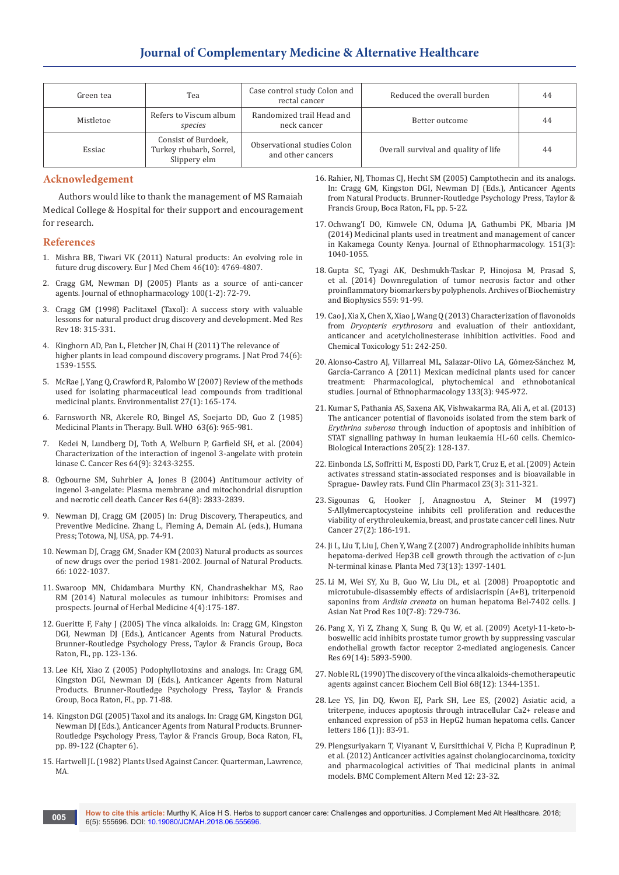| Green tea | Tea                                                            | Case control study Colon and<br>rectal cancer    | Reduced the overall burden           | 44 |
|-----------|----------------------------------------------------------------|--------------------------------------------------|--------------------------------------|----|
| Mistletoe | Refers to Viscum album<br>species                              | Randomized trail Head and<br>neck cancer         | Better outcome                       | 44 |
| Essiac    | Consist of Burdoek,<br>Turkey rhubarb, Sorrel,<br>Slippery elm | Observational studies Colon<br>and other cancers | Overall survival and quality of life | 44 |

#### **Acknowledgement**

Authors would like to thank the management of MS Ramaiah Medical College & Hospital for their support and encouragement for research.

#### **References**

- 1. [Mishra BB, Tiwari VK \(2011\) Natural products: An evolving role in](https://www.ncbi.nlm.nih.gov/pubmed/21889825)  [future drug discovery.](https://www.ncbi.nlm.nih.gov/pubmed/21889825) Eur J Med Chem 46(10): 4769-4807.
- 2. [Cragg GM, Newman DJ \(2005\) Plants as a source of anti-cancer](https://www.ncbi.nlm.nih.gov/pubmed/16009521)  agents. [Journal of ethnopharmacology](https://www.ncbi.nlm.nih.gov/pubmed/16009521) 100(1-2): 72-79.
- 3. [Cragg GM \(1998\) Paclitaxel \(Taxol\): A success story with valuable](https://www.ncbi.nlm.nih.gov/pubmed/9735872)  [lessons for natural product drug discovery and development.](https://www.ncbi.nlm.nih.gov/pubmed/9735872) Med Res Rev [18: 315-331.](https://www.ncbi.nlm.nih.gov/pubmed/9735872)
- 4. [Kinghorn AD, Pan L, Fletcher JN, Chai H \(2011\) The relevance of](https://www.ncbi.nlm.nih.gov/pubmed/21650152)  [higher plants in lead compound discovery programs.](https://www.ncbi.nlm.nih.gov/pubmed/21650152) J Nat Prod 74(6): [1539-1555.](https://www.ncbi.nlm.nih.gov/pubmed/21650152)
- 5. [McRae J, Yang Q, Crawford R, Palombo W \(2007\) Review of the methods](https://link.springer.com/article/10.1007/s10669-007-9024-9)  [used for isolating pharmaceutical lead compounds from traditional](https://link.springer.com/article/10.1007/s10669-007-9024-9)  medicinal plants. [Environmentalist](https://link.springer.com/article/10.1007/s10669-007-9024-9) 27(1): 165-174.
- 6. [Farnsworth NR, Akerele RO, Bingel AS, Soejarto DD, Guo Z \(1985\)](https://www.ncbi.nlm.nih.gov/pubmed/3879679)  [Medicinal Plants in Therapy. Bull. WHO 63\(6\): 965-981.](https://www.ncbi.nlm.nih.gov/pubmed/3879679)
- 7. [Kedei N, Lundberg DJ, Toth A, Welburn P, Garfield SH, et al. \(2004\)](https://www.ncbi.nlm.nih.gov/pubmed/15126366)  [Characterization of the interaction of ingenol 3-angelate with protein](https://www.ncbi.nlm.nih.gov/pubmed/15126366)  kinase C. Cancer Res [64\(9\): 3243-3255.](https://www.ncbi.nlm.nih.gov/pubmed/15126366)
- 8. [Ogbourne SM, Suhrbier A, Jones B \(2004\) Antitumour activity of](https://www.ncbi.nlm.nih.gov/pubmed/15087400)  [ingenol 3-angelate: Plasma membrane and mitochondrial disruption](https://www.ncbi.nlm.nih.gov/pubmed/15087400)  [and necrotic cell death.](https://www.ncbi.nlm.nih.gov/pubmed/15087400) Cancer Res 64(8): 2833-2839.
- 9. Newman DJ, Cragg GM (2005) In: Drug Discovery, Therapeutics, and Preventive Medicine. Zhang L, Fleming A, Demain AL (eds.), Humana Press; Totowa, NJ, USA, pp. 74-91.
- 10. [Newman DJ, Cragg GM, Snader KM \(2003\) Natural products as sources](https://www.ncbi.nlm.nih.gov/pubmed/12880330)  [of new drugs over the period 1981-2002. Journal of Natural Products.](https://www.ncbi.nlm.nih.gov/pubmed/12880330)  [66: 1022-1037.](https://www.ncbi.nlm.nih.gov/pubmed/12880330)
- 11. [Swaroop MN, Chidambara Murthy KN, Chandrashekhar MS, Rao](https://www.sciencedirect.com/science/article/pii/S2210803314000621)  [RM \(2014\) Natural molecules as tumour inhibitors: Promises and](https://www.sciencedirect.com/science/article/pii/S2210803314000621)  prospects. [Journal of Herbal Medicine 4\(4\):175-187.](https://www.sciencedirect.com/science/article/pii/S2210803314000621)
- 12. Gueritte F, Fahy J (2005) The vinca alkaloids. In: Cragg GM, Kingston DGI, Newman DJ (Eds.), Anticancer Agents from Natural Products. Brunner-Routledge Psychology Press, Taylor & Francis Group, Boca Raton, FL, pp. 123-136.
- 13. Lee KH, Xiao Z (2005) Podophyllotoxins and analogs. In: Cragg GM, Kingston DGI, Newman DJ (Eds.), Anticancer Agents from Natural Products. Brunner-Routledge Psychology Press, Taylor & Francis Group, Boca Raton, FL, pp. 71-88.
- 14. Kingston DGI (2005) Taxol and its analogs. In: Cragg GM, Kingston DGI, Newman DJ (Eds.), Anticancer Agents from Natural Products. Brunner-Routledge Psychology Press, Taylor & Francis Group, Boca Raton, FL, pp. 89-122 (Chapter 6).
- 15. Hartwell JL (1982) Plants Used Against Cancer. Quarterman, Lawrence, MA.
- 16. Rahier, NJ, Thomas CJ, Hecht SM (2005) Camptothecin and its analogs. In: Cragg GM, Kingston DGI, Newman DJ (Eds.), Anticancer Agents from Natural Products. Brunner-Routledge Psychology Press, Taylor & Francis Group, Boca Raton, FL, pp. 5-22.
- 17. [Ochwang'I DO, Kimwele CN, Oduma JA, Gathumbi PK, Mbaria JM](https://www.ncbi.nlm.nih.gov/pubmed/24362078)  [\(2014\) Medicinal plants used in treatment and management of cancer](https://www.ncbi.nlm.nih.gov/pubmed/24362078)  [in Kakamega County Kenya. Journal of Ethnopharmacology. 151\(3\):](https://www.ncbi.nlm.nih.gov/pubmed/24362078)  [1040-1055.](https://www.ncbi.nlm.nih.gov/pubmed/24362078)
- 18. [Gupta SC, Tyagi AK, Deshmukh-Taskar P, Hinojosa M, Prasad S,](https://www.ncbi.nlm.nih.gov/pubmed/24946050)  [et al. \(2014\) Downregulation of tumor necrosis factor and other](https://www.ncbi.nlm.nih.gov/pubmed/24946050)  [proinflammatory biomarkers by polyphenols. Archives of Biochemistry](https://www.ncbi.nlm.nih.gov/pubmed/24946050)  [and Biophysics 559: 91-99.](https://www.ncbi.nlm.nih.gov/pubmed/24946050)
- 19. [Cao J, Xia X, Chen X, Xiao J, Wang Q \(2013\) Characterization of flavonoids](https://www.ncbi.nlm.nih.gov/pubmed/23063594)  from *Dryopteris erythrosora* [and evaluation of their antioxidant,](https://www.ncbi.nlm.nih.gov/pubmed/23063594)  [anticancer and acetylcholinesterase inhibition activities. Food and](https://www.ncbi.nlm.nih.gov/pubmed/23063594)  [Chemical Toxicology 51: 242-250.](https://www.ncbi.nlm.nih.gov/pubmed/23063594)
- 20. [Alonso-Castro AJ, Villarreal ML, Salazar-Olivo LA, Gómez-Sánchez M,](https://www.ncbi.nlm.nih.gov/pubmed/21146599)  [García-Carranco A \(2011\) Mexican medicinal plants used for cancer](https://www.ncbi.nlm.nih.gov/pubmed/21146599)  [treatment: Pharmacological, phytochemical and ethnobotanical](https://www.ncbi.nlm.nih.gov/pubmed/21146599)  studies. [Journal of Ethnopharmacology](https://www.ncbi.nlm.nih.gov/pubmed/21146599) 133(3): 945-972.
- 21. [Kumar S, Pathania AS, Saxena AK, Vishwakarma RA, Ali A, et al. \(2013\)](https://www.ncbi.nlm.nih.gov/pubmed/23850732)  [The anticancer potential of flavonoids isolated from the stem bark of](https://www.ncbi.nlm.nih.gov/pubmed/23850732)  *Erythrina suberosa* [through induction of apoptosis and inhibition of](https://www.ncbi.nlm.nih.gov/pubmed/23850732)  [STAT signalling pathway in human leukaemia HL-60 cells. Chemico-](https://www.ncbi.nlm.nih.gov/pubmed/23850732)[Biological Interactions 205\(2\): 128-137.](https://www.ncbi.nlm.nih.gov/pubmed/23850732)
- 22. [Einbonda LS, Soffritti M, Esposti DD, Park T, Cruz E, et al. \(2009\) Actein](https://www.ncbi.nlm.nih.gov/pubmed/19527300)  [activates stressand statin-associated responses and is bioavailable in](https://www.ncbi.nlm.nih.gov/pubmed/19527300)  [Sprague- Dawley rats. Fund Clin Pharmacol 23\(3\): 311-321.](https://www.ncbi.nlm.nih.gov/pubmed/19527300)
- 23. [Sigounas G, Hooker J, Anagnostou A, Steiner M \(1997\)](https://www.ncbi.nlm.nih.gov/pubmed/9121948)  [S-Allylmercaptocysteine inhibits cell proliferation and reducesthe](https://www.ncbi.nlm.nih.gov/pubmed/9121948)  [viability of erythroleukemia, breast, and prostate cancer cell lines. Nutr](https://www.ncbi.nlm.nih.gov/pubmed/9121948)  [Cancer 27\(2\): 186-191.](https://www.ncbi.nlm.nih.gov/pubmed/9121948)
- 24. [Ji L, Liu T, Liu J, Chen Y, Wang Z \(2007\) Andrographolide inhibits human](https://www.ncbi.nlm.nih.gov/pubmed/17918040)  [hepatoma-derived Hep3B cell growth through the activation of c-Jun](https://www.ncbi.nlm.nih.gov/pubmed/17918040)  [N-terminal kinase. Planta Med 73\(13\): 1397-1401.](https://www.ncbi.nlm.nih.gov/pubmed/17918040)
- 25. [Li M, Wei SY, Xu B, Guo W, Liu DL, et al. \(2008\) Proapoptotic and](https://www.ncbi.nlm.nih.gov/pubmed/18696326)  [microtubule-disassembly effects of ardisiacrispin \(A+B\), triterpenoid](https://www.ncbi.nlm.nih.gov/pubmed/18696326)  saponins from *Ardisia crenata* [on human hepatoma Bel-7402 cells. J](https://www.ncbi.nlm.nih.gov/pubmed/18696326)  [Asian Nat Prod Res 10\(7-8\): 729-736.](https://www.ncbi.nlm.nih.gov/pubmed/18696326)
- 26. [Pang X, Yi Z, Zhang X, Sung B, Qu W, et al. \(2009\) Acetyl-11-keto-b](https://www.ncbi.nlm.nih.gov/pubmed/19567671)[boswellic acid inhibits prostate tumor growth by suppressing vascular](https://www.ncbi.nlm.nih.gov/pubmed/19567671)  [endothelial growth factor receptor 2-mediated angiogenesis. Cancer](https://www.ncbi.nlm.nih.gov/pubmed/19567671)  [Res 69\(14\): 5893-5900.](https://www.ncbi.nlm.nih.gov/pubmed/19567671)
- 27. [Noble RL \(1990\) The discovery of the vinca alkaloids-chemotherapeutic](https://www.ncbi.nlm.nih.gov/pubmed/2085431)  [agents against cancer. Biochem Cell Biol 68\(12\): 1344-1351.](https://www.ncbi.nlm.nih.gov/pubmed/2085431)
- 28. [Lee YS, Jin DQ, Kwon EJ, Park SH, Lee ES, \(2002\) Asiatic acid, a](https://www.ncbi.nlm.nih.gov/pubmed/12183079)  [triterpene, induces apoptosis through intracellular Ca2+ release and](https://www.ncbi.nlm.nih.gov/pubmed/12183079)  [enhanced expression of p53 in HepG2 human hepatoma cells.](https://www.ncbi.nlm.nih.gov/pubmed/12183079) Cancer letters [186 \(1\)\): 83-91.](https://www.ncbi.nlm.nih.gov/pubmed/12183079)
- 29. [Plengsuriyakarn T, Viyanant V, Eursitthichai V, Picha P, Kupradinun P,](https://www.ncbi.nlm.nih.gov/pubmed/22448640)  [et al. \(2012\) Anticancer activities against cholangiocarcinoma, toxicity](https://www.ncbi.nlm.nih.gov/pubmed/22448640)  [and pharmacological activities of Thai medicinal plants in animal](https://www.ncbi.nlm.nih.gov/pubmed/22448640)  [models. BMC Complement Altern Med 12: 23-32.](https://www.ncbi.nlm.nih.gov/pubmed/22448640)